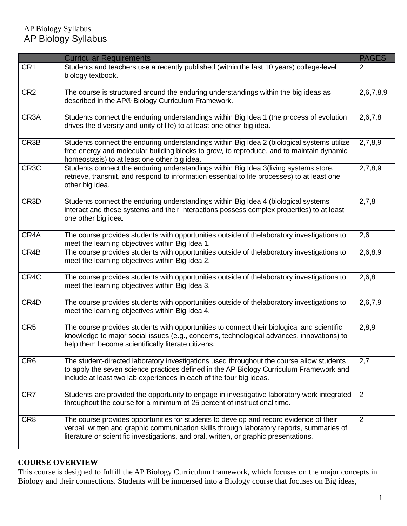|                   | <b>Curricular Requirements</b>                                                                                                                                                                                                                                               | <b>PAGES</b>   |
|-------------------|------------------------------------------------------------------------------------------------------------------------------------------------------------------------------------------------------------------------------------------------------------------------------|----------------|
| CR1               | Students and teachers use a recently published (within the last 10 years) college-level<br>biology textbook.                                                                                                                                                                 | 2              |
| CR <sub>2</sub>   | The course is structured around the enduring understandings within the big ideas as<br>described in the AP® Biology Curriculum Framework.                                                                                                                                    | 2,6,7,8,9      |
| CR <sub>3</sub> A | Students connect the enduring understandings within Big Idea 1 (the process of evolution<br>drives the diversity and unity of life) to at least one other big idea.                                                                                                          | 2,6,7,8        |
| CR3B              | Students connect the enduring understandings within Big Idea 2 (biological systems utilize<br>free energy and molecular building blocks to grow, to reproduce, and to maintain dynamic<br>homeostasis) to at least one other big idea.                                       | 2,7,8,9        |
| CR <sub>3</sub> C | Students connect the enduring understandings within Big Idea 3(living systems store,<br>retrieve, transmit, and respond to information essential to life processes) to at least one<br>other big idea.                                                                       | 2,7,8,9        |
| CR3D              | Students connect the enduring understandings within Big Idea 4 (biological systems<br>interact and these systems and their interactions possess complex properties) to at least<br>one other big idea.                                                                       | 2,7,8          |
| CR4A              | The course provides students with opportunities outside of thelaboratory investigations to<br>meet the learning objectives within Big Idea 1.                                                                                                                                | 2,6            |
| CR4B              | The course provides students with opportunities outside of thelaboratory investigations to<br>meet the learning objectives within Big Idea 2.                                                                                                                                | 2,6,8,9        |
| CR4C              | The course provides students with opportunities outside of thelaboratory investigations to<br>meet the learning objectives within Big Idea 3.                                                                                                                                | 2,6,8          |
| CR4D              | The course provides students with opportunities outside of thelaboratory investigations to<br>meet the learning objectives within Big Idea 4.                                                                                                                                | 2,6,7,9        |
| CR <sub>5</sub>   | The course provides students with opportunities to connect their biological and scientific<br>knowledge to major social issues (e.g., concerns, technological advances, innovations) to<br>help them become scientifically literate citizens.                                | 2,8,9          |
| CR <sub>6</sub>   | The student-directed laboratory investigations used throughout the course allow students<br>to apply the seven science practices defined in the AP Biology Curriculum Framework and<br>include at least two lab experiences in each of the four big ideas.                   | 2,7            |
| CR7               | Students are provided the opportunity to engage in investigative laboratory work integrated<br>throughout the course for a minimum of 25 percent of instructional time.                                                                                                      | 2              |
| CR <sub>8</sub>   | The course provides opportunities for students to develop and record evidence of their<br>verbal, written and graphic communication skills through laboratory reports, summaries of<br>literature or scientific investigations, and oral, written, or graphic presentations. | $\overline{2}$ |

# **COURSE OVERVIEW**

This course is designed to fulfill the AP Biology Curriculum framework, which focuses on the major concepts in Biology and their connections. Students will be immersed into a Biology course that focuses on Big ideas,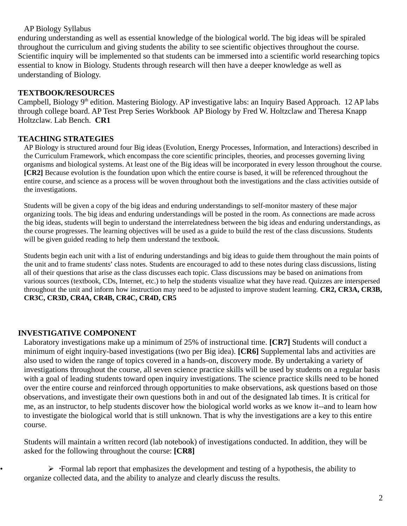enduring understanding as well as essential knowledge of the biological world. The big ideas will be spiraled throughout the curriculum and giving students the ability to see scientific objectives throughout the course. Scientific inquiry will be implemented so that students can be immersed into a scientific world researching topics essential to know in Biology. Students through research will then have a deeper knowledge as well as understanding of Biology.

#### **TEXTBOOK/RESOURCES**

Campbell, Biology 9<sup>th</sup> edition. Mastering Biology. AP investigative labs: an Inquiry Based Approach. 12 AP labs through college board. AP Test Prep Series Workbook AP Biology by Fred W. Holtzclaw and Theresa Knapp Holtzclaw. Lab Bench. **CR1**

#### **TEACHING STRATEGIES**

AP Biology is structured around four Big ideas (Evolution, Energy Processes, Information, and Interactions) described in the Curriculum Framework, which encompass the core scientific principles, theories, and processes governing living organisms and biological systems. At least one of the Big ideas will be incorporated in every lesson throughout the course. **[CR2]** Because evolution is the foundation upon which the entire course is based, it will be referenced throughout the entire course, and science as a process will be woven throughout both the investigations and the class activities outside of the investigations.

Students will be given a copy of the big ideas and enduring understandings to self-monitor mastery of these major organizing tools. The big ideas and enduring understandings will be posted in the room. As connections are made across the big ideas, students will begin to understand the interrelatedness between the big ideas and enduring understandings, as the course progresses. The learning objectives will be used as a guide to build the rest of the class discussions. Students will be given guided reading to help them understand the textbook.

Students begin each unit with a list of enduring understandings and big ideas to guide them throughout the main points of the unit and to frame students' class notes. Students are encouraged to add to these notes during class discussions, listing all of their questions that arise as the class discusses each topic. Class discussions may be based on animations from various sources (textbook, CDs, Internet, etc.) to help the students visualize what they have read. Quizzes are interspersed throughout the unit and inform how instruction may need to be adjusted to improve student learning. **CR2, CR3A, CR3B, CR3C, CR3D, CR4A, CR4B, CR4C, CR4D, CR5**

#### **INVESTIGATIVE COMPONENT**

Laboratory investigations make up a minimum of 25% of instructional time. **[CR7]** Students will conduct a minimum of eight inquiry-based investigations (two per Big idea). **[CR6]** Supplemental labs and activities are also used to widen the range of topics covered in a hands-on, discovery mode. By undertaking a variety of investigations throughout the course, all seven science practice skills will be used by students on a regular basis with a goal of leading students toward open inquiry investigations. The science practice skills need to be honed over the entire course and reinforced through opportunities to make observations, ask questions based on those observations, and investigate their own questions both in and out of the designated lab times. It is critical for me, as an instructor, to help students discover how the biological world works as we know it--and to learn how to investigate the biological world that is still unknown. That is why the investigations are a key to this entire course.

Students will maintain a written record (lab notebook) of investigations conducted. In addition, they will be asked for the following throughout the course: **[CR8]**

 $\triangleright$  • Formal lab report that emphasizes the development and testing of a hypothesis, the ability to organize collected data, and the ability to analyze and clearly discuss the results.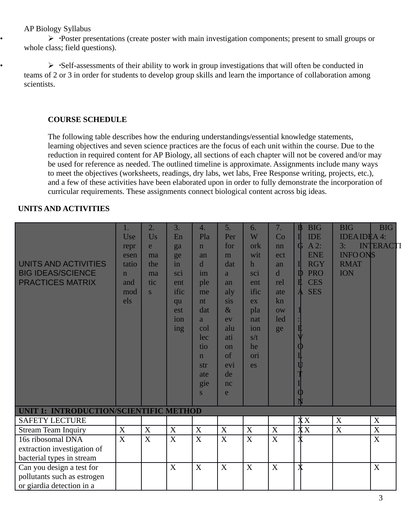$\triangleright$  • Poster presentations (create poster with main investigation components; present to small groups or whole class; field questions).

•  $\triangleright$  Self-assessments of their ability to work in group investigations that will often be conducted in teams of 2 or 3 in order for students to develop group skills and learn the importance of collaboration among scientists.

### **COURSE SCHEDULE**

The following table describes how the enduring understandings/essential knowledge statements, learning objectives and seven science practices are the focus of each unit within the course. Due to the reduction in required content for AP Biology, all sections of each chapter will not be covered and/or may be used for reference as needed. The outlined timeline is approximate. Assignments include many ways to meet the objectives (worksheets, readings, dry labs, wet labs, Free Response writing, projects, etc.), and a few of these activities have been elaborated upon in order to fully demonstrate the incorporation of curricular requirements. These assignments connect biological content across big ideas.

### **UNITS AND ACTIVITIES**

| UNITS AND ACTIVITIES<br><b>BIG IDEAS/SCIENCE</b><br><b>PRACTICES MATRIX</b> | 1.<br>Use<br>repr<br>esen<br>tatio<br>$\mathbf n$<br>and<br>mod<br>els | 2.<br>Us<br>e<br>ma<br>the<br>ma<br>tic<br><sub>S</sub> | 3.<br>En<br>ga<br>ge<br>in<br>sci<br>ent<br>ific<br>qu<br>est<br>ion<br>ing | 4.<br>Pla<br>$\mathbf n$<br>an<br>$\mathbf d$<br>im<br>ple<br>me<br>nt<br>dat<br>$\overline{a}$<br>col<br>lec<br>tio<br>$\mathbf n$<br>str<br>ate<br>gie<br>S | 5.<br>Per<br>for<br>m<br>dat<br>a<br>an<br>aly<br>sis<br>$\&$<br>ev<br>alu<br>ati<br>on<br>of<br>evi<br>de<br>nc<br>e | 6.<br>W<br>ork<br>wit<br>$\mathbf h$<br>sci<br>ent<br>ific<br>ex<br>pla<br>nat<br>ion<br>s/t<br>he<br>ori<br>es | 7.<br>Co<br>nn<br>ect<br>an<br>$\mathbf{d}$<br>rel<br>ate<br>$\rm{kn}$<br>$\overline{\text{OW}}$<br>led<br>ge | $\mathbf{B}$<br><b>BIG</b><br><b>IDE</b><br>A2:<br>G<br><b>ENE</b><br><b>RGY</b><br><b>PRO</b><br>$\mathbb D$<br>E<br><b>CES</b><br><b>SES</b><br>$\mathbf{A}$<br>ヰ | <b>BIG</b><br><b>IDEAIDEA4:</b><br>3:<br><b>INFO ONS</b><br><b>RMAT</b><br><b>ION</b> | <b>BIG</b><br><b>INTERACTI</b> |
|-----------------------------------------------------------------------------|------------------------------------------------------------------------|---------------------------------------------------------|-----------------------------------------------------------------------------|---------------------------------------------------------------------------------------------------------------------------------------------------------------|-----------------------------------------------------------------------------------------------------------------------|-----------------------------------------------------------------------------------------------------------------|---------------------------------------------------------------------------------------------------------------|---------------------------------------------------------------------------------------------------------------------------------------------------------------------|---------------------------------------------------------------------------------------|--------------------------------|
| UNIT 1: INTRODUCTION/SCIENTIFIC METHOD                                      |                                                                        |                                                         |                                                                             |                                                                                                                                                               |                                                                                                                       |                                                                                                                 |                                                                                                               |                                                                                                                                                                     | $\boldsymbol{X}$                                                                      |                                |
| <b>SAFETY LECTURE</b><br><b>Stream Team Inquiry</b>                         | $\mathbf X$                                                            | X                                                       | $\boldsymbol{X}$                                                            | $\boldsymbol{X}$                                                                                                                                              | X                                                                                                                     | X                                                                                                               | $\boldsymbol{X}$                                                                                              | $\overline{X}X$<br>$\overline{X}X$                                                                                                                                  | $\mathbf X$                                                                           | X<br>$\overline{X}$            |
| 16s ribosomal DNA                                                           | $\boldsymbol{X}$                                                       | $\boldsymbol{X}$                                        | $\boldsymbol{X}$                                                            | X                                                                                                                                                             | $\mathbf X$                                                                                                           | $\boldsymbol{X}$                                                                                                | $\mathbf X$                                                                                                   |                                                                                                                                                                     |                                                                                       | $\boldsymbol{X}$               |
| extraction investigation of                                                 |                                                                        |                                                         |                                                                             |                                                                                                                                                               |                                                                                                                       |                                                                                                                 |                                                                                                               |                                                                                                                                                                     |                                                                                       |                                |
| bacterial types in stream                                                   |                                                                        |                                                         |                                                                             |                                                                                                                                                               |                                                                                                                       |                                                                                                                 |                                                                                                               |                                                                                                                                                                     |                                                                                       |                                |
| Can you design a test for                                                   |                                                                        |                                                         | X                                                                           | X                                                                                                                                                             | X                                                                                                                     | X                                                                                                               | X                                                                                                             | $\bm{X}$                                                                                                                                                            |                                                                                       | X                              |
| pollutants such as estrogen                                                 |                                                                        |                                                         |                                                                             |                                                                                                                                                               |                                                                                                                       |                                                                                                                 |                                                                                                               |                                                                                                                                                                     |                                                                                       |                                |
| or giardia detection in a                                                   |                                                                        |                                                         |                                                                             |                                                                                                                                                               |                                                                                                                       |                                                                                                                 |                                                                                                               |                                                                                                                                                                     |                                                                                       |                                |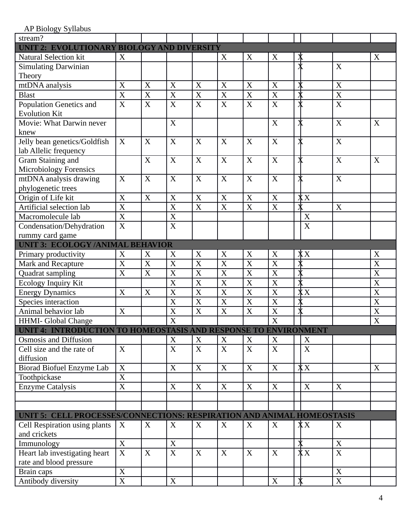AP Biology Syllabus

| stream?                                                                |                         |                       |                         |                         |                           |                         |                         |                   |                           |                         |
|------------------------------------------------------------------------|-------------------------|-----------------------|-------------------------|-------------------------|---------------------------|-------------------------|-------------------------|-------------------|---------------------------|-------------------------|
| UNIT 2: EVOLUTIONARY BIOLOGY AND DIVERSITY                             |                         |                       |                         |                         |                           |                         |                         |                   |                           |                         |
| <b>Natural Selection kit</b>                                           | X                       |                       |                         |                         | X                         | X                       | X                       | ∦                 |                           | X                       |
| <b>Simulating Darwinian</b>                                            |                         |                       |                         |                         |                           |                         |                         |                   | $\mathbf X$               |                         |
| Theory                                                                 |                         |                       |                         |                         |                           |                         |                         |                   |                           |                         |
| mtDNA analysis                                                         | $\mathbf X$             | $\mathbf X$           | $\mathbf X$             | $\mathbf X$             | $\mathbf X$               | $\mathbf X$             | $\boldsymbol{X}$        | ≸                 | $\mathbf X$               |                         |
| <b>Blast</b>                                                           | $\overline{\text{X}}$   | X                     | $\overline{X}$          | X                       | X                         | X                       | $\overline{X}$          | $\pmb{\c}$        | $\overline{X}$            |                         |
| <b>Population Genetics and</b>                                         | $\overline{X}$          | $\overline{X}$        | $\overline{X}$          | $\mathbf X$             | $\overline{X}$            | X                       | $\overline{X}$          |                   | X                         |                         |
| <b>Evolution Kit</b>                                                   |                         |                       |                         |                         |                           |                         |                         |                   |                           |                         |
| Movie: What Darwin never                                               |                         |                       | $\boldsymbol{X}$        |                         |                           |                         | X                       | ∦                 | $\mathbf X$               | X                       |
| knew                                                                   |                         |                       |                         |                         |                           |                         |                         |                   |                           |                         |
| Jelly bean genetics/Goldfish                                           | X                       | X                     | X                       | X                       | X                         | X                       | X                       |                   | $\boldsymbol{\mathrm{X}}$ |                         |
| lab Allelic frequency                                                  |                         |                       |                         |                         |                           |                         |                         |                   |                           |                         |
| Gram Staining and                                                      |                         | $\mathbf X$           | $\mathbf X$             | $\mathbf X$             | X                         | X                       | $\boldsymbol{X}$        | $\bm{x}$          | $\mathbf X$               | X                       |
| <b>Microbiology Forensics</b>                                          |                         |                       |                         |                         |                           |                         |                         |                   |                           |                         |
| mtDNA analysis drawing                                                 | $\boldsymbol{X}$        | $\mathbf X$           | $\mathbf X$             | $\mathbf X$             | $\mathbf X$               | X                       | $\mathbf X$             | ≸                 | $\boldsymbol{\mathrm{X}}$ |                         |
| phylogenetic trees                                                     |                         |                       |                         |                         |                           |                         |                         |                   |                           |                         |
| Origin of Life kit                                                     | X                       | $\mathbf X$           | X                       | $\mathbf X$             | X                         | X                       | X                       | X X               |                           |                         |
| Artificial selection lab                                               | $\overline{X}$          |                       | $\overline{\text{X}}$   | $\overline{\mathbf{X}}$ | $\overline{\text{X}}$     | X                       | $\overline{\text{X}}$   |                   | $\mathbf X$               |                         |
| Macromolecule lab                                                      | $\overline{\text{X}}$   |                       | $\overline{\text{X}}$   |                         |                           |                         |                         | X                 |                           |                         |
| Condensation/Dehydration                                               | $\overline{\text{X}}$   |                       | $\overline{\text{X}}$   |                         |                           |                         |                         | $\mathbf X$       |                           |                         |
| rummy card game                                                        |                         |                       |                         |                         |                           |                         |                         |                   |                           |                         |
| <b>UNIT 3: ECOLOGY/ANIMAL BEHAVIOR</b>                                 |                         |                       |                         |                         |                           |                         |                         |                   |                           |                         |
| Primary productivity                                                   | X                       | X                     | $\mathbf X$             | X                       | X                         | X                       | X                       | $\overline{X}X$   |                           | X                       |
| Mark and Recapture                                                     | $\overline{\mathbf{X}}$ | $\overline{\text{X}}$ | $\overline{\text{X}}$   | $\overline{\text{X}}$   | $\overline{\text{X}}$     | $\overline{\text{X}}$   | $\overline{\text{X}}$   |                   |                           | $\overline{\text{X}}$   |
| Quadrat sampling                                                       | $\mathbf X$             | $\mathbf X$           | X                       | X                       | $\boldsymbol{\mathrm{X}}$ | $\mathbf X$             | X                       |                   |                           | X                       |
| <b>Ecology Inquiry Kit</b>                                             |                         |                       | $\overline{\mathrm{x}}$ | $\overline{\mathrm{X}}$ | $\overline{\mathrm{X}}$   | $\overline{\mathrm{x}}$ | $\overline{\mathrm{x}}$ |                   |                           | $\overline{\mathrm{x}}$ |
| <b>Energy Dynamics</b>                                                 | $\mathbf X$             | $\mathbf X$           | $\overline{\mathbf{X}}$ | $\overline{\mathbf{X}}$ | $\overline{\text{X}}$     | $\overline{\text{X}}$   | $\overline{\text{X}}$   | XХ                |                           | $\overline{\text{X}}$   |
| Species interaction                                                    |                         |                       | $\overline{\text{X}}$   | $\overline{X}$          | $\overline{X}$            | X                       | $\overline{X}$          |                   |                           | X                       |
| Animal behavior lab                                                    | $\boldsymbol{X}$        |                       | X                       | $\boldsymbol{X}$        | X                         | X                       | X                       | $\pmb{\c}$        |                           | X                       |
| <b>HHMI- Global Change</b>                                             |                         |                       | $\overline{\text{X}}$   |                         |                           |                         | $\overline{\text{X}}$   |                   |                           | X                       |
| UNIT 4: INTRODUCTION TO HOMEOSTASIS AND RESPONSE TO ENVIRONMENT        |                         |                       |                         |                         |                           |                         |                         |                   |                           |                         |
| <b>Osmosis and Diffusion</b>                                           |                         |                       | X                       | X                       | X                         | X                       | X                       | X                 |                           |                         |
| Cell size and the rate of                                              | $\boldsymbol{X}$        |                       | $\mathbf X$             | X                       | $\mathbf X$               | X                       | X                       | X                 |                           |                         |
| diffusion                                                              |                         |                       |                         |                         |                           |                         |                         |                   |                           |                         |
| Biorad Biofuel Enzyme Lab                                              | $\mathbf X$             |                       | $\mathbf X$             | X                       | $\mathbf X$               | $\mathbf X$             | $\mathbf X$             | $\overline{X}X$   |                           | $\mathbf X$             |
| Toothpickase                                                           | $\overline{\text{X}}$   |                       |                         |                         |                           |                         |                         |                   |                           |                         |
| <b>Enzyme Catalysis</b>                                                | $\boldsymbol{X}$        |                       | X                       | X                       | X                         | X                       | X                       | X                 | X                         |                         |
|                                                                        |                         |                       |                         |                         |                           |                         |                         |                   |                           |                         |
|                                                                        |                         |                       |                         |                         |                           |                         |                         |                   |                           |                         |
| UNIT 5: CELL PROCESSES/CONNECTIONS: RESPIRATION AND ANIMAL HOMEOSTASIS |                         |                       |                         |                         |                           |                         |                         |                   |                           |                         |
| Cell Respiration using plants                                          | X                       | X                     | X                       | X                       | X                         | X                       | X                       | $\bf{X}$          | X                         |                         |
| and crickets                                                           |                         |                       |                         |                         |                           |                         |                         |                   |                           |                         |
| Immunology                                                             | $\mathbf X$             |                       | $\mathbf X$             |                         |                           |                         |                         |                   | $\mathbf X$               |                         |
| Heart lab investigating heart                                          | $\overline{\mathbf{X}}$ | X                     | $\overline{\text{X}}$   | X                       | X                         | X                       | X                       | $\overline{X}X$   | $\overline{\text{X}}$     |                         |
| rate and blood pressure                                                |                         |                       |                         |                         |                           |                         |                         |                   |                           |                         |
| Brain caps                                                             | $\boldsymbol{X}$        |                       |                         |                         |                           |                         |                         |                   | $\mathbf X$               |                         |
| Antibody diversity                                                     | $\mathbf X$             |                       | X                       |                         |                           |                         | X                       | $\bm{\mathsf{X}}$ | $\boldsymbol{\mathrm{X}}$ |                         |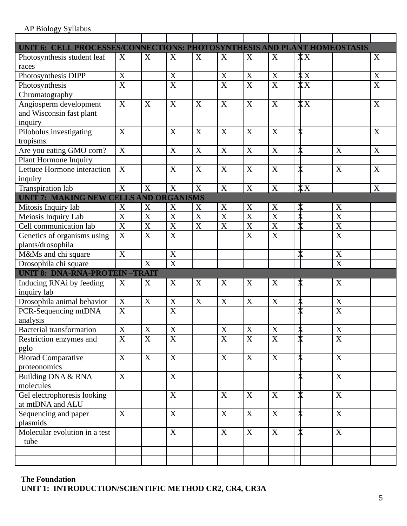| UNIT 6: CELL PROCESSES/CONNECTIONS: PHOTOSYNTHESIS AND PLANT HOMEOSTASIS |                       |                  |                       |                  |                       |                       |                       |                         |                           |                  |
|--------------------------------------------------------------------------|-----------------------|------------------|-----------------------|------------------|-----------------------|-----------------------|-----------------------|-------------------------|---------------------------|------------------|
| Photosynthesis student leaf                                              | X                     | X                | X                     | X                | X                     | X                     | X                     | $\overline{X}X$         |                           | X                |
| races                                                                    |                       |                  |                       |                  |                       |                       |                       |                         |                           |                  |
| Photosynthesis DIPP                                                      | $\mathbf X$           |                  | $\mathbf X$           |                  | $\mathbf X$           | $\mathbf X$           | $\mathbf X$           | $\overline{X}X$         |                           | $\boldsymbol{X}$ |
| Photosynthesis                                                           | $\overline{\text{X}}$ |                  | $\overline{\text{X}}$ |                  | $\overline{\text{X}}$ | $\overline{\text{X}}$ | $\overline{\text{X}}$ | $\overline{XX}$         |                           | $\overline{X}$   |
| Chromatography                                                           |                       |                  |                       |                  |                       |                       |                       |                         |                           |                  |
| Angiosperm development                                                   | $\boldsymbol{X}$      | X                | $\boldsymbol{X}$      | X                | X                     | $\mathbf X$           | $\boldsymbol{X}$      | $\overline{X}X$         |                           | $\boldsymbol{X}$ |
| and Wisconsin fast plant                                                 |                       |                  |                       |                  |                       |                       |                       |                         |                           |                  |
| inquiry                                                                  |                       |                  |                       |                  |                       |                       |                       |                         |                           |                  |
| Pilobolus investigating                                                  | $\boldsymbol{X}$      |                  | $\boldsymbol{X}$      | $\boldsymbol{X}$ | X                     | X                     | $\boldsymbol{X}$      | $\pmb{\mathsf{X}}$      |                           | X                |
| tropisms.                                                                |                       |                  |                       |                  |                       |                       |                       |                         |                           |                  |
| Are you eating GMO corn?                                                 | $\boldsymbol{X}$      |                  | X                     | X                | X                     | $\mathbf X$           | X                     | ₮                       | $\boldsymbol{X}$          | X                |
| <b>Plant Hormone Inquiry</b>                                             |                       |                  |                       |                  |                       |                       |                       |                         |                           |                  |
| Lettuce Hormone interaction                                              | X                     |                  | X                     | X                | X                     | X                     | X                     | $\pmb{\mathsf{X}}$      | $\mathbf X$               | X                |
| inquiry                                                                  |                       |                  |                       |                  |                       |                       |                       |                         |                           |                  |
| <b>Transpiration lab</b>                                                 | X                     | X                | $\boldsymbol{X}$      | $\boldsymbol{X}$ | $\mathbf X$           | $\mathbf X$           | $\mathbf X$           | $\overline{X}X$         |                           | X                |
| <b>UNIT 7: MAKING NEW CELLS AND ORGANISMS</b>                            |                       |                  |                       |                  |                       |                       |                       |                         |                           |                  |
| Mitosis Inquiry lab                                                      | $\mathbf X$           | X                | X                     | X                | X                     | X                     | X                     | ≸                       | X                         |                  |
| Meiosis Inquiry Lab                                                      | $\overline{X}$        | X                | $\overline{X}$        | X                | $\overline{X}$        | $\mathbf X$           | $\overline{\text{X}}$ |                         | X                         |                  |
| Cell communication lab                                                   | $\overline{\text{X}}$ | X                | $\overline{X}$        | $\mathbf X$      | $\overline{\text{X}}$ | $\mathbf X$           | $\overline{\text{X}}$ | $\overline{\textbf{X}}$ | X                         |                  |
| Genetics of organisms using                                              | $\mathbf X$           | $\boldsymbol{X}$ | $\boldsymbol{X}$      |                  |                       | $\mathbf X$           | $\mathbf X$           |                         | $\mathbf X$               |                  |
| plants/drosophila                                                        |                       |                  |                       |                  |                       |                       |                       |                         |                           |                  |
| M&Ms and chi square                                                      | $\boldsymbol{X}$      |                  | X                     |                  |                       |                       |                       | ≸                       | $\mathbf X$               |                  |
| Drosophila chi square                                                    |                       | $\boldsymbol{X}$ | $\overline{\text{X}}$ |                  |                       |                       |                       |                         | $\overline{X}$            |                  |
| <b>UNIT 8: DNA-RNA-PROTEIN-TRAIT</b>                                     |                       |                  |                       |                  |                       |                       |                       |                         |                           |                  |
| Inducing RNAi by feeding                                                 | X                     | X                | X                     | X                | X                     | X                     | X                     | ∦                       | X                         |                  |
| inquiry lab                                                              |                       |                  |                       |                  |                       |                       |                       |                         |                           |                  |
| Drosophila animal behavior                                               | $\boldsymbol{X}$      | X                | X                     | $\mathbf X$      | X                     | $\mathbf X$           | $\mathbf X$           | ≸                       | X                         |                  |
| PCR-Sequencing mtDNA                                                     | $\mathbf X$           |                  | $\mathbf X$           |                  |                       |                       |                       |                         | $\mathbf X$               |                  |
| analysis                                                                 |                       |                  |                       |                  |                       |                       |                       |                         |                           |                  |
| Bacterial transformation                                                 | $\overline{X}$        | $\mathbf X$      | $\mathbf X$           |                  | $\mathbf X$           | $\mathbf X$           | $\mathbf X$           | ₮                       | $\mathbf X$               |                  |
| Restriction enzymes and                                                  | $\boldsymbol{X}$      | $\mathbf X$      | $\mathbf X$           |                  | X                     | X                     | $\boldsymbol{X}$      |                         | $\boldsymbol{X}$          |                  |
| pglo                                                                     |                       |                  |                       |                  |                       |                       |                       |                         |                           |                  |
| <b>Biorad Comparative</b>                                                | X                     | X                | $\boldsymbol{X}$      |                  | X                     | X                     | X                     | $\pmb{\mathbb{X}}$      | X                         |                  |
| proteonomics                                                             |                       |                  |                       |                  |                       |                       |                       |                         |                           |                  |
| Building DNA & RNA                                                       | $\mathbf X$           |                  | $\mathbf X$           |                  |                       |                       |                       | $\pmb{\mathsf{X}}$      | $\overline{X}$            |                  |
| molecules                                                                |                       |                  |                       |                  |                       |                       |                       |                         |                           |                  |
| Gel electrophoresis looking                                              |                       |                  | $\mathbf X$           |                  | $\mathbf X$           | X                     | $\mathbf X$           | ≸                       | $\boldsymbol{\mathrm{X}}$ |                  |
| at mtDNA and ALU                                                         |                       |                  |                       |                  |                       |                       |                       |                         |                           |                  |
| Sequencing and paper                                                     | X                     |                  | X                     |                  | X                     | X                     | X                     | $\pmb{\mathbb{X}}$      | X                         |                  |
| plasmids                                                                 |                       |                  |                       |                  |                       |                       |                       |                         |                           |                  |
| Molecular evolution in a test                                            |                       |                  | $\mathbf X$           |                  | X                     | $\mathbf X$           | X                     | $\bm{\mathsf{X}}$       | $\mathbf X$               |                  |
| tube                                                                     |                       |                  |                       |                  |                       |                       |                       |                         |                           |                  |
|                                                                          |                       |                  |                       |                  |                       |                       |                       |                         |                           |                  |
|                                                                          |                       |                  |                       |                  |                       |                       |                       |                         |                           |                  |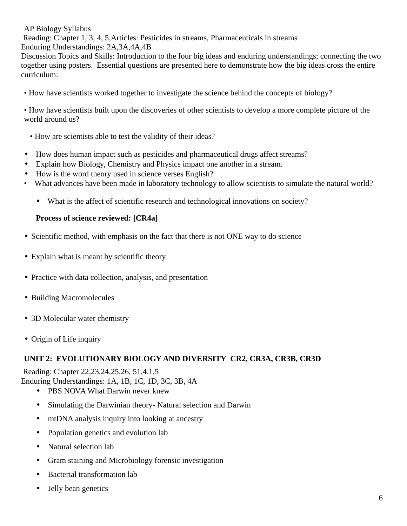Reading: Chapter 1, 3, 4, 5,Articles: Pesticides in streams, Pharmaceuticals in streams

Enduring Understandings: 2A,3A,4A,4B

Discussion Topics and Skills: Introduction to the four big ideas and enduring understandings; connecting the two together using posters. Essential questions are presented here to demonstrate how the big ideas cross the entire curriculum:

• How have scientists worked together to investigate the science behind the concepts of biology?

• How have scientists built upon the discoveries of other scientists to develop a more complete picture of the world around us?

- How are scientists able to test the validity of their ideas?
- How does human impact such as pesticides and pharmaceutical drugs affect streams?
- Explain how Biology, Chemistry and Physics impact one another in a stream.
- How is the word theory used in science verses English?
- What advances have been made in laboratory technology to allow scientists to simulate the natural world?
	- What is the affect of scientific research and technological innovations on society?

### **Process of science reviewed: [CR4a]**

- Scientific method, with emphasis on the fact that there is not ONE way to do science
- Explain what is meant by scientific theory
- Practice with data collection, analysis, and presentation
- Building Macromolecules
- 3D Molecular water chemistry
- Origin of Life inquiry

# **UNIT 2: EVOLUTIONARY BIOLOGY AND DIVERSITY CR2, CR3A, CR3B, CR3D**

 Reading: Chapter 22,23,24,25,26, 51,4.1,5 Enduring Understandings: 1A, 1B, 1C, 1D, 3C, 3B, 4A

- PBS NOVA What Darwin never knew
- Simulating the Darwinian theory- Natural selection and Darwin
- mtDNA analysis inquiry into looking at ancestry
- Population genetics and evolution lab
- Natural selection lab
- Gram staining and Microbiology forensic investigation
- Bacterial transformation lab
- Jelly bean genetics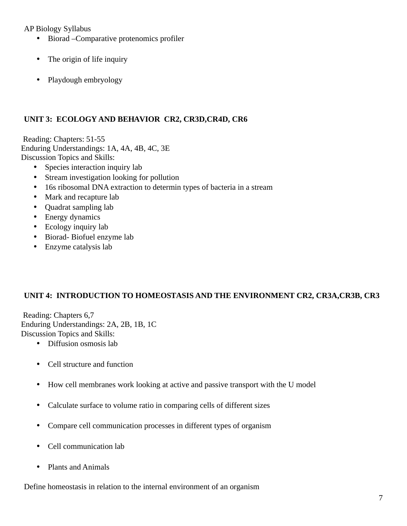- Biorad Comparative protenomics profiler
- The origin of life inquiry
- Playdough embryology

# **UNIT 3: ECOLOGY AND BEHAVIOR CR2, CR3D,CR4D, CR6**

 Reading: Chapters: 51-55 Enduring Understandings: 1A, 4A, 4B, 4C, 3E Discussion Topics and Skills:

- Species interaction inquiry lab
- Stream investigation looking for pollution
- 16s ribosomal DNA extraction to determin types of bacteria in a stream
- Mark and recapture lab
- Quadrat sampling lab
- Energy dynamics
- Ecology inquiry lab
- Biorad- Biofuel enzyme lab
- Enzyme catalysis lab

# **UNIT 4: INTRODUCTION TO HOMEOSTASIS AND THE ENVIRONMENT CR2, CR3A,CR3B, CR3**

 Reading: Chapters 6,7 Enduring Understandings: 2A, 2B, 1B, 1C Discussion Topics and Skills:

- Diffusion osmosis lab
- Cell structure and function
- How cell membranes work looking at active and passive transport with the U model
- Calculate surface to volume ratio in comparing cells of different sizes
- Compare cell communication processes in different types of organism
- Cell communication lab
- Plants and Animals

Define homeostasis in relation to the internal environment of an organism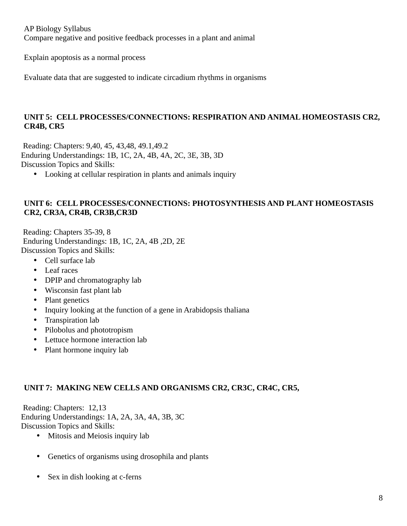AP Biology Syllabus Compare negative and positive feedback processes in a plant and animal

Explain apoptosis as a normal process

Evaluate data that are suggested to indicate circadium rhythms in organisms

### **UNIT 5: CELL PROCESSES/CONNECTIONS: RESPIRATION AND ANIMAL HOMEOSTASIS CR2, CR4B, CR5**

 Reading: Chapters: 9,40, 45, 43,48, 49.1,49.2 Enduring Understandings: 1B, 1C, 2A, 4B, 4A, 2C, 3E, 3B, 3D Discussion Topics and Skills:

• Looking at cellular respiration in plants and animals inquiry

### **UNIT 6: CELL PROCESSES/CONNECTIONS: PHOTOSYNTHESIS AND PLANT HOMEOSTASIS CR2, CR3A, CR4B, CR3B,CR3D**

 Reading: Chapters 35-39, 8 Enduring Understandings: 1B, 1C, 2A, 4B ,2D, 2E Discussion Topics and Skills:

- Cell surface lab
- Leaf races
- DPIP and chromatography lab
- Wisconsin fast plant lab
- Plant genetics
- Inquiry looking at the function of a gene in Arabidopsis thaliana
- Transpiration lab
- Pilobolus and phototropism
- Lettuce hormone interaction lab
- Plant hormone inquiry lab

### **UNIT 7: MAKING NEW CELLS AND ORGANISMS CR2, CR3C, CR4C, CR5,**

 Reading: Chapters: 12,13 Enduring Understandings: 1A, 2A, 3A, 4A, 3B, 3C Discussion Topics and Skills:

- Mitosis and Meiosis inquiry lab
- Genetics of organisms using drosophila and plants
- Sex in dish looking at c-ferns